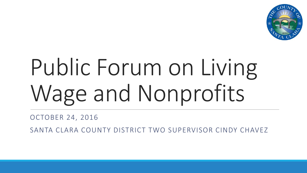

# Public Forum on Living Wage and Nonprofits

OCTOBER 24, 2016

SANTA CLARA COUNTY DISTRICT TWO SUPERVISOR CINDY CHAVEZ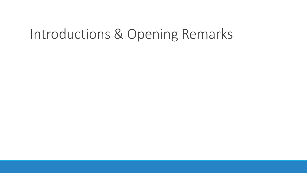# Introductions & Opening Remarks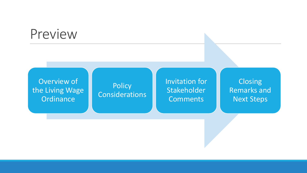### Preview

Overview of the Living Wage **Ordinance** 

#### **Policy Considerations**

Invitation for Stakeholder **Comments** 

**Closing** Remarks and Next Steps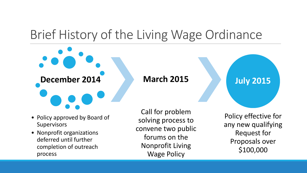# Brief History of the Living Wage Ordinance

• Policy approved by Board of **Supervisors** 

**December 2014**

• Nonprofit organizations deferred until further completion of outreach process

Call for problem solving process to convene two public forums on the Nonprofit Living Wage Policy

**March 2015**

**July 2015**

Policy effective for any new qualifying Request for Proposals over \$100,000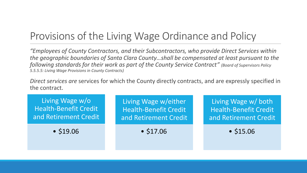#### Provisions of the Living Wage Ordinance and Policy

*"Employees of County Contractors, and their Subcontractors, who provide Direct Services within the geographic boundaries of Santa Clara County…shall be compensated at least pursuant to the following standards for their work as part of the County Service Contract" (Board of Supervisors Policy 5.5.5.5: Living Wage Provisions in County Contracts)*

*Direct services are* services for which the County directly contracts, and are expressly specified in the contract.

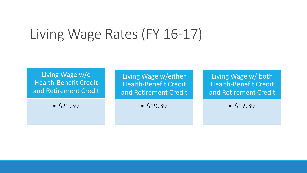# Living Wage Rates (FY 16-17)

Living Wage w/o Health-Benefit Credit and Retirement Credit

• \$21.39

Living Wage w/either Health-Benefit Credit and Retirement Credit

• \$19.39

Living Wage w/ both Health-Benefit Credit and Retirement Credit

• \$17.39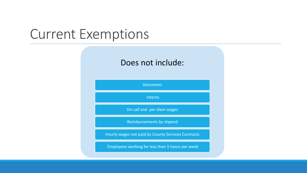#### Current Exemptions

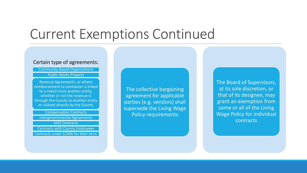### Current Exemptions Continued

#### Certain type of agreements:

Community Based Organizations

Public Works Projects

Revenue Agreements, or where reimbursement to contractor is linked to a match from another entity, whether or not the revenue is through the County to another entity or utilized directly by the County

Compensation Contracts

Intergovernmental Agreements **IHSS Contracts** 

Contracts with County Employees Contracts under \$100k for their term

The collective bargaining agreement for applicable parties (e.g. vendors) shall supersede the Living Wage Policy requirements

The Board of Supervisors, at its sole discretion, or that of its designee, may grant an exemption from some or all of the Living Wage Policy for individual contracts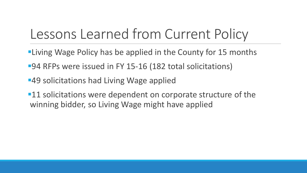# Lessons Learned from Current Policy

- **-Living Wage Policy has be applied in the County for 15 months**
- ■94 RFPs were issued in FY 15-16 (182 total solicitations)
- **-49 solicitations had Living Wage applied**
- **-11** solicitations were dependent on corporate structure of the winning bidder, so Living Wage might have applied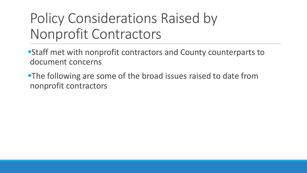# Policy Considerations Raised by Nonprofit Contractors

Staff met with nonprofit contractors and County counterparts to document concerns

**The following are some of the broad issues raised to date from** nonprofit contractors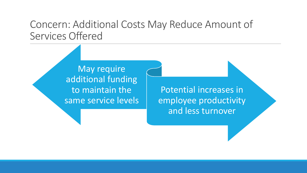#### Concern: Additional Costs May Reduce Amount of Services Offered

May require additional funding to maintain the same service levels

Potential increases in employee productivity and less turnover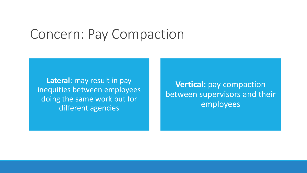### Concern: Pay Compaction

**Lateral**: may result in pay inequities between employees doing the same work but for different agencies

**Vertical:** pay compaction between supervisors and their employees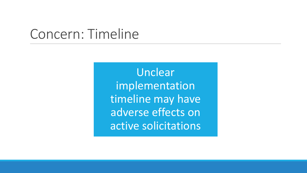### Concern: Timeline

Unclear implementation timeline may have adverse effects on active solicitations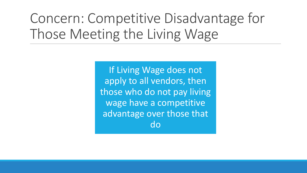# Concern: Competitive Disadvantage for Those Meeting the Living Wage

If Living Wage does not apply to all vendors, then those who do not pay living wage have a competitive advantage over those that do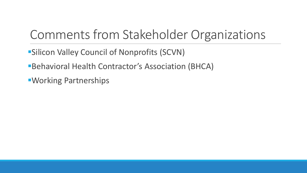# Comments from Stakeholder Organizations

- **Silicon Valley Council of Nonprofits (SCVN)**
- Behavioral Health Contractor's Association (BHCA)
- Working Partnerships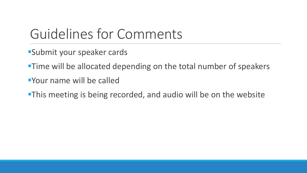# Guidelines for Comments

- Submit your speaker cards
- **Time will be allocated depending on the total number of speakers**
- Your name will be called
- **-This meeting is being recorded, and audio will be on the website**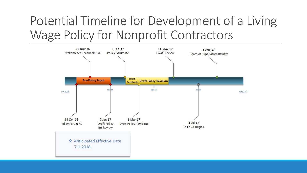# Potential Timeline for Development of a Living Wage Policy for Nonprofit Contractors